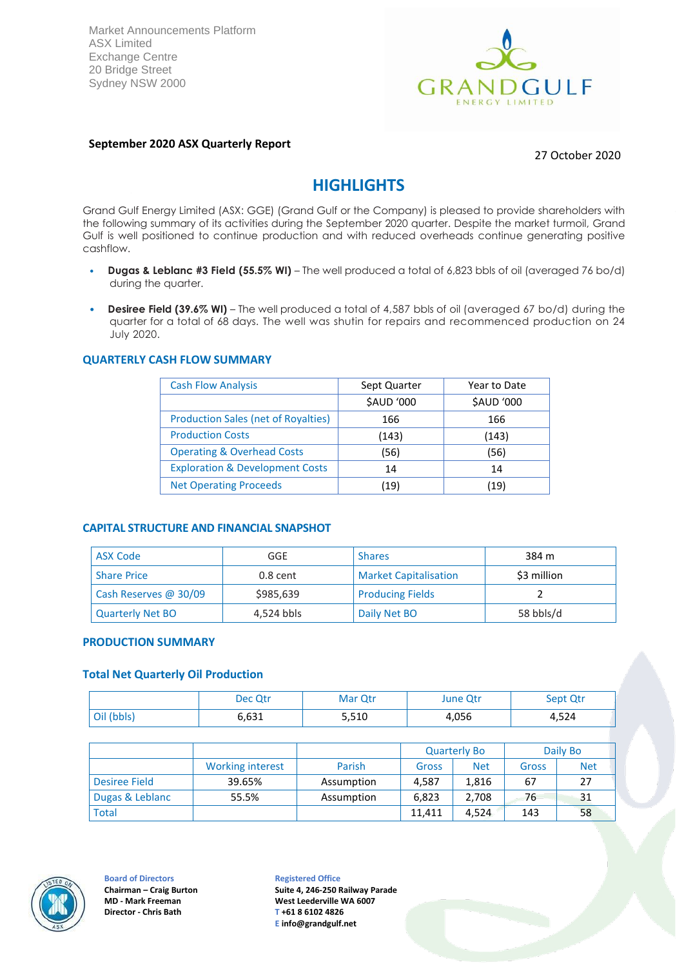Market Announcements Platform ASX Limited Exchange Centre 20 Bridge Street Sydney NSW 2000



### **September 2020 ASX Quarterly Report**

27 October 2020

# **HIGHLIGHTS**

Grand Gulf Energy Limited (ASX: GGE) (Grand Gulf or the Company) is pleased to provide shareholders with the following summary of its activities during the September 2020 quarter. Despite the market turmoil, Grand Gulf is well positioned to continue production and with reduced overheads continue generating positive cashflow.

- **Dugas & Leblanc #3 Field (55.5% WI)** The well produced a total of 6,823 bbls of oil (averaged 76 bo/d) during the quarter.
- **Desiree Field (39.6% WI)** The well produced a total of 4,587 bbls of oil (averaged 67 bo/d) during the quarter for a total of 68 days. The well was shutin for repairs and recommenced production on 24 July 2020.

#### **QUARTERLY CASH FLOW SUMMARY**

| <b>Cash Flow Analysis</b>                  | Sept Quarter | Year to Date |
|--------------------------------------------|--------------|--------------|
|                                            | \$AUD '000   | \$AUD '000   |
| <b>Production Sales (net of Royalties)</b> | 166          | 166          |
| <b>Production Costs</b>                    | (143)        | (143)        |
| <b>Operating &amp; Overhead Costs</b>      | (56)         | (56)         |
| <b>Exploration &amp; Development Costs</b> | 14           | 14           |
| <b>Net Operating Proceeds</b>              | (19)         | (19)         |

#### **CAPITAL STRUCTURE AND FINANCIAL SNAPSHOT**

| <b>ASX Code</b>         | GGE        | <b>Shares</b>                | 384 m       |
|-------------------------|------------|------------------------------|-------------|
| <b>Share Price</b>      | $0.8$ cent | <b>Market Capitalisation</b> | \$3 million |
| Cash Reserves @ 30/09   | \$985,639  | <b>Producing Fields</b>      |             |
| <b>Quarterly Net BO</b> | 4,524 bbls | Daily Net BO                 | 58 bbls/d   |

#### **PRODUCTION SUMMARY**

### **Total Net Quarterly Oil Production**

|            | Dec Qtr | Mar Qtr | <b>June Qtr</b> | Sept Qtr |
|------------|---------|---------|-----------------|----------|
| Oil (bbls) | 6,631   | 5,510   | 4,056           | 4,524    |

|                 |                         |            |        | <b>Quarterly Bo</b> |       | Daily Bo   |
|-----------------|-------------------------|------------|--------|---------------------|-------|------------|
|                 | <b>Working interest</b> | Parish     | Gross  | <b>Net</b>          | Gross | <b>Net</b> |
| Desiree Field   | 39.65%                  | Assumption | 4.587  | 1,816               | 67    | 27         |
| Dugas & Leblanc | 55.5%                   | Assumption | 6,823  | 2,708               | 76    | 31         |
| <b>Total</b>    |                         |            | 11.411 | 4.524               | 143   | 58         |



#### **Board of Directors Chairman – Craig Burton MD - Mark Freeman Director - Chris Bath**

**Registered Office Suite 4, 246-250 Railway Parade West Leederville WA 6007 T +61 8 6102 4826 E [info@grandgulf.net](mailto:info@grandgulf.net)**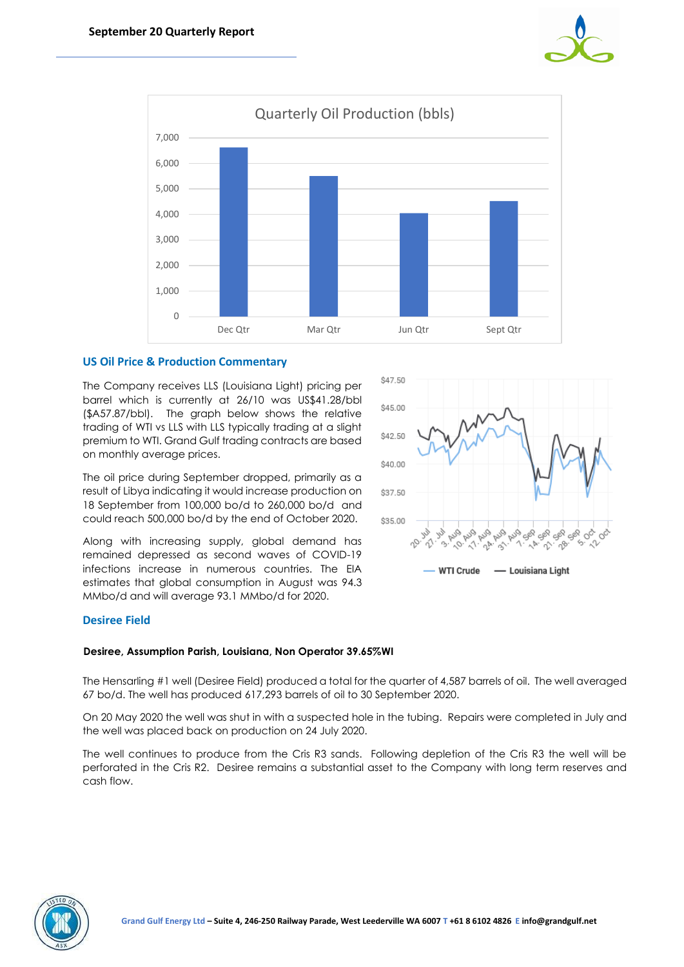



\$47.50

### **US Oil Price & Production Commentary**

The Company receives LLS (Louisiana Light) pricing per barrel which is currently at 26/10 was US\$41.28/bbl (\$A57.87/bbl). The graph below shows the relative trading of WTI vs LLS with LLS typically trading at a slight premium to WTI. Grand Gulf trading contracts are based on monthly average prices.

The oil price during September dropped, primarily as a result of Libya indicating it would increase production on 18 September from 100,000 bo/d to 260,000 bo/d and could reach 500,000 bo/d by the end of October 2020.

Along with increasing supply, global demand has remained depressed as second waves of COVID-19 infections increase in numerous countries. The EIA estimates that global consumption in August was 94.3 MMbo/d and will average 93.1 MMbo/d for 2020.



## **Desiree Field**

## **Desiree, Assumption Parish, Louisiana, Non Operator 39.65%WI**

The Hensarling #1 well (Desiree Field) produced a total for the quarter of 4,587 barrels of oil. The well averaged 67 bo/d. The well has produced 617,293 barrels of oil to 30 September 2020.

On 20 May 2020 the well was shut in with a suspected hole in the tubing. Repairs were completed in July and the well was placed back on production on 24 July 2020.

The well continues to produce from the Cris R3 sands. Following depletion of the Cris R3 the well will be perforated in the Cris R2. Desiree remains a substantial asset to the Company with long term reserves and cash flow.

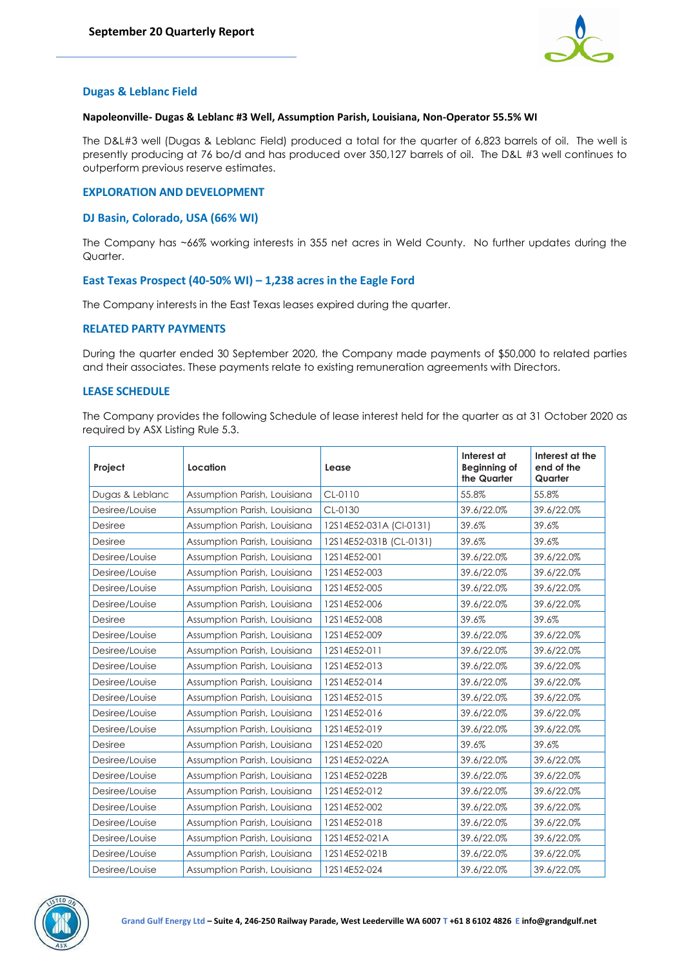

### **Dugas & Leblanc Field**

#### **Napoleonville- Dugas & Leblanc #3 Well, Assumption Parish, Louisiana, Non-Operator 55.5% WI**

The D&L#3 well (Dugas & Leblanc Field) produced a total for the quarter of 6,823 barrels of oil. The well is presently producing at 76 bo/d and has produced over 350,127 barrels of oil. The D&L #3 well continues to outperform previous reserve estimates.

#### **EXPLORATION AND DEVELOPMENT**

#### **DJ Basin, Colorado, USA (66% WI)**

The Company has ~66% working interests in 355 net acres in Weld County. No further updates during the Quarter.

#### **East Texas Prospect (40-50% WI) – 1,238 acres in the Eagle Ford**

The Company interests in the East Texas leases expired during the quarter.

#### **RELATED PARTY PAYMENTS**

During the quarter ended 30 September 2020, the Company made payments of \$50,000 to related parties and their associates. These payments relate to existing remuneration agreements with Directors.

#### **LEASE SCHEDULE**

The Company provides the following Schedule of lease interest held for the quarter as at 31 October 2020 as required by ASX Listing Rule 5.3.

| Project         | Location                     | Lease                   | Interest at<br>Beginning of<br>the Quarter | Interest at the<br>end of the<br>Quarter |
|-----------------|------------------------------|-------------------------|--------------------------------------------|------------------------------------------|
| Dugas & Leblanc | Assumption Parish, Louisiana | $CL-0110$               | 55.8%                                      | 55.8%                                    |
| Desiree/Louise  | Assumption Parish, Louisiana | CL-0130                 | 39.6/22.0%                                 | 39.6/22.0%                               |
| <b>Desiree</b>  | Assumption Parish, Louisiana | 12S14E52-031A (CI-0131) | 39.6%                                      | 39.6%                                    |
| <b>Desiree</b>  | Assumption Parish, Louisiana | 12S14E52-031B (CL-0131) | 39.6%                                      | 39.6%                                    |
| Desiree/Louise  | Assumption Parish, Louisiana | 12S14E52-001            | 39.6/22.0%                                 | 39.6/22.0%                               |
| Desiree/Louise  | Assumption Parish, Louisiana | 12S14E52-003            | 39.6/22.0%                                 | 39.6/22.0%                               |
| Desiree/Louise  | Assumption Parish, Louisiana | 12S14E52-005            | 39.6/22.0%                                 | 39.6/22.0%                               |
| Desiree/Louise  | Assumption Parish, Louisiana | 12S14E52-006            | 39.6/22.0%                                 | 39.6/22.0%                               |
| Desiree         | Assumption Parish, Louisiana | 12S14E52-008            | 39.6%                                      | 39.6%                                    |
| Desiree/Louise  | Assumption Parish, Louisiana | 12S14E52-009            | 39.6/22.0%                                 | 39.6/22.0%                               |
| Desiree/Louise  | Assumption Parish, Louisiana | 12S14E52-011            | 39.6/22.0%                                 | 39.6/22.0%                               |
| Desiree/Louise  | Assumption Parish, Louisiana | 12S14E52-013            | 39.6/22.0%                                 | 39.6/22.0%                               |
| Desiree/Louise  | Assumption Parish, Louisiana | 12S14E52-014            | 39.6/22.0%                                 | 39.6/22.0%                               |
| Desiree/Louise  | Assumption Parish, Louisiana | 12S14E52-015            | 39.6/22.0%                                 | 39.6/22.0%                               |
| Desiree/Louise  | Assumption Parish, Louisiana | 12S14E52-016            | 39.6/22.0%                                 | 39.6/22.0%                               |
| Desiree/Louise  | Assumption Parish, Louisiana | 12S14E52-019            | 39.6/22.0%                                 | 39.6/22.0%                               |
| <b>Desiree</b>  | Assumption Parish, Louisiana | 12S14E52-020            | 39.6%                                      | 39.6%                                    |
| Desiree/Louise  | Assumption Parish, Louisiana | 12S14E52-022A           | 39.6/22.0%                                 | 39.6/22.0%                               |
| Desiree/Louise  | Assumption Parish, Louisiana | 12S14E52-022B           | 39.6/22.0%                                 | 39.6/22.0%                               |
| Desiree/Louise  | Assumption Parish, Louisiana | 12S14E52-012            | 39.6/22.0%                                 | 39.6/22.0%                               |
| Desiree/Louise  | Assumption Parish, Louisiana | 12S14E52-002            | 39.6/22.0%                                 | 39.6/22.0%                               |
| Desiree/Louise  | Assumption Parish, Louisiana | 12S14E52-018            | 39.6/22.0%                                 | 39.6/22.0%                               |
| Desiree/Louise  | Assumption Parish, Louisiana | 12S14E52-021A           | 39.6/22.0%                                 | 39.6/22.0%                               |
| Desiree/Louise  | Assumption Parish, Louisiana | 12S14E52-021B           | 39.6/22.0%                                 | 39.6/22.0%                               |
| Desiree/Louise  | Assumption Parish, Louisiana | 12S14E52-024            | 39.6/22.0%                                 | 39.6/22.0%                               |

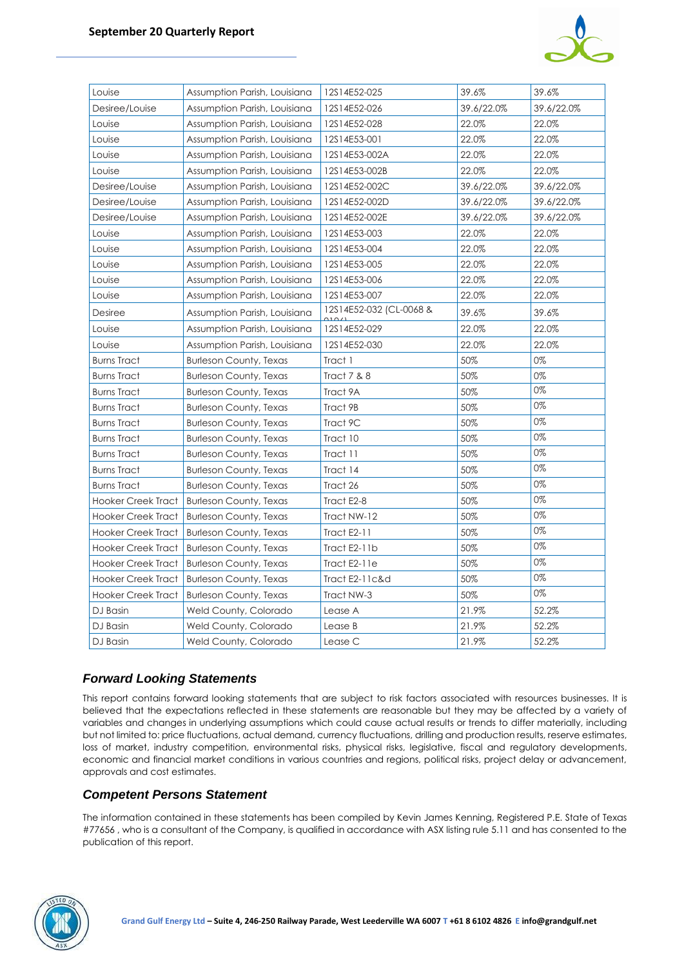

| Louise                    | Assumption Parish, Louisiana  | 12S14E52-025            | 39.6%      | 39.6%      |
|---------------------------|-------------------------------|-------------------------|------------|------------|
| Desiree/Louise            | Assumption Parish, Louisiana  | 12S14E52-026            | 39.6/22.0% | 39.6/22.0% |
| Louise                    | Assumption Parish, Louisiana  | 12S14E52-028            | 22.0%      | 22.0%      |
| Louise                    | Assumption Parish, Louisiana  | 12S14E53-001            | 22.0%      | 22.0%      |
| Louise                    | Assumption Parish, Louisiana  | 12S14E53-002A           | 22.0%      | 22.0%      |
| Louise                    | Assumption Parish, Louisiana  | 12S14E53-002B           | 22.0%      | 22.0%      |
| Desiree/Louise            | Assumption Parish, Louisiana  | 12S14E52-002C           | 39.6/22.0% | 39.6/22.0% |
| Desiree/Louise            | Assumption Parish, Louisiana  | 12S14E52-002D           | 39.6/22.0% | 39.6/22.0% |
| Desiree/Louise            | Assumption Parish, Louisiana  | 12S14E52-002E           | 39.6/22.0% | 39.6/22.0% |
| Louise                    | Assumption Parish, Louisiana  | 12S14E53-003            | 22.0%      | 22.0%      |
| Louise                    | Assumption Parish, Louisiana  | 12S14E53-004            | 22.0%      | 22.0%      |
| Louise                    | Assumption Parish, Louisiana  | 12S14E53-005            | 22.0%      | 22.0%      |
| Louise                    | Assumption Parish, Louisiana  | 12S14E53-006            | 22.0%      | 22.0%      |
| Louise                    | Assumption Parish, Louisiana  | 12S14E53-007            | 22.0%      | 22.0%      |
| Desiree                   | Assumption Parish, Louisiana  | 12S14E52-032 (CL-0068 & | 39.6%      | 39.6%      |
| Louise                    | Assumption Parish, Louisiana  | 12S14E52-029            | 22.0%      | 22.0%      |
| Louise                    | Assumption Parish, Louisiana  | 12S14E52-030            | 22.0%      | 22.0%      |
| <b>Burns Tract</b>        | <b>Burleson County, Texas</b> | Tract 1                 | 50%        | 0%         |
| <b>Burns Tract</b>        | <b>Burleson County, Texas</b> | Tract 7 & 8             | 50%        | 0%         |
| <b>Burns Tract</b>        | <b>Burleson County, Texas</b> | Tract 9A                | 50%        | 0%         |
| <b>Burns Tract</b>        | <b>Burleson County, Texas</b> | Tract 9B                | 50%        | 0%         |
| <b>Burns Tract</b>        | <b>Burleson County, Texas</b> | Tract 9C                | 50%        | 0%         |
| <b>Burns Tract</b>        | <b>Burleson County, Texas</b> | Tract 10                | 50%        | 0%         |
| <b>Burns Tract</b>        | <b>Burleson County, Texas</b> | Tract 11                | 50%        | 0%         |
| <b>Burns Tract</b>        | <b>Burleson County, Texas</b> | Tract 14                | 50%        | 0%         |
| <b>Burns Tract</b>        | <b>Burleson County, Texas</b> | Tract 26                | 50%        | 0%         |
| Hooker Creek Tract        | <b>Burleson County, Texas</b> | Tract E2-8              | 50%        | 0%         |
| Hooker Creek Tract        | <b>Burleson County, Texas</b> | Tract NW-12             | 50%        | 0%         |
| Hooker Creek Tract        | <b>Burleson County, Texas</b> | <b>Tract E2-11</b>      | 50%        | 0%         |
| Hooker Creek Tract        | <b>Burleson County, Texas</b> | Tract E2-11b            | 50%        | 0%         |
| <b>Hooker Creek Tract</b> | <b>Burleson County, Texas</b> | Tract E2-11e            | 50%        | 0%         |
| <b>Hooker Creek Tract</b> | <b>Burleson County, Texas</b> | Tract E2-11c&d          | 50%        | 0%         |
| <b>Hooker Creek Tract</b> | <b>Burleson County, Texas</b> | Tract NW-3              | 50%        | 0%         |
| DJ Basin                  | Weld County, Colorado         | Lease A                 | 21.9%      | 52.2%      |
| DJ Basin                  | Weld County, Colorado         | Lease B                 | 21.9%      | 52.2%      |
| DJ Basin                  | Weld County, Colorado         | Lease C                 | 21.9%      | 52.2%      |

## *Forward Looking Statements*

This report contains forward looking statements that are subject to risk factors associated with resources businesses. It is believed that the expectations reflected in these statements are reasonable but they may be affected by a variety of variables and changes in underlying assumptions which could cause actual results or trends to differ materially, including but not limited to: price fluctuations, actual demand, currency fluctuations, drilling and production results, reserve estimates, loss of market, industry competition, environmental risks, physical risks, legislative, fiscal and regulatory developments, economic and financial market conditions in various countries and regions, political risks, project delay or advancement, approvals and cost estimates.

## *Competent Persons Statement*

The information contained in these statements has been compiled by Kevin James Kenning, Registered P.E. State of Texas #77656 , who is a consultant of the Company, is qualified in accordance with ASX listing rule 5.11 and has consented to the publication of this report.

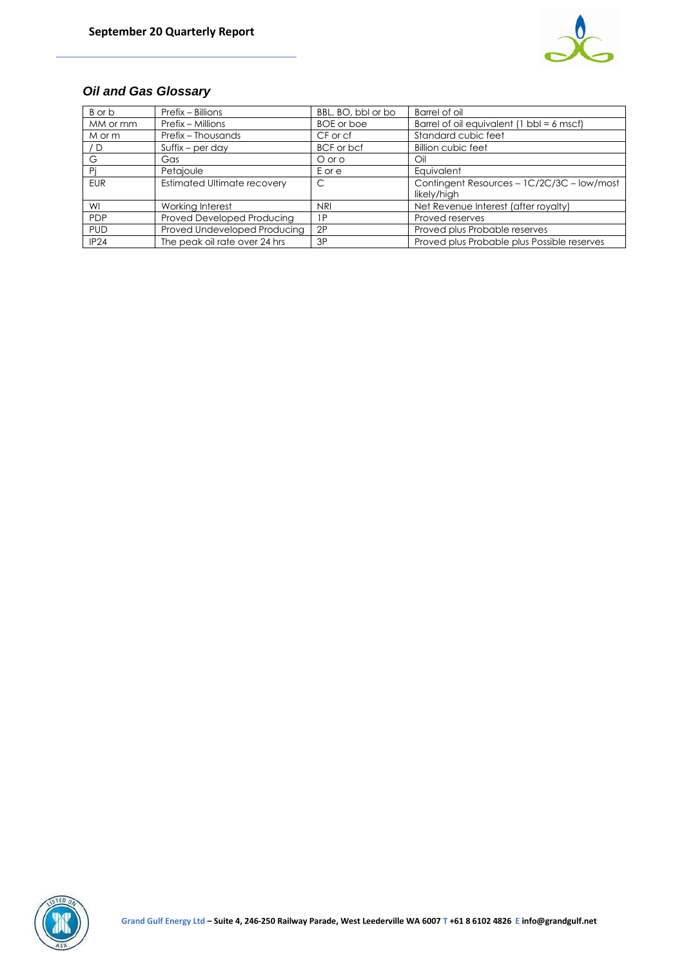

## *Oil and Gas Glossary*

| B or b     | Prefix – Billions                  | BBL, BO, bbl or bo | Barrel of oil                                             |
|------------|------------------------------------|--------------------|-----------------------------------------------------------|
| MM or mm   | Prefix – Millions                  | <b>BOE</b> or boe  | Barrel of oil equivalent (1 bbl = $6$ mscf)               |
| M or m     | Prefix - Thousands                 | CF or cf           | Standard cubic feet                                       |
| /D         | $S$ uffix – per day                | BCF or bcf         | Billion cubic feet                                        |
| G          | Gas                                | O or o             | Oil                                                       |
| Pi         | Petajoule                          | Eore               | Equivalent                                                |
| <b>EUR</b> | <b>Estimated Ultimate recovery</b> | C                  | Contingent Resources - 1C/2C/3C - low/most<br>likely/high |
| WI         | Working Interest                   | <b>NRI</b>         | Net Revenue Interest (after royalty)                      |
| <b>PDP</b> | Proved Developed Producing         | 1P                 | Proved reserves                                           |
| <b>PUD</b> | Proved Undeveloped Producing       | 2P                 | Proved plus Probable reserves                             |
| IP24       | The peak oil rate over 24 hrs      | 3P                 | Proved plus Probable plus Possible reserves               |

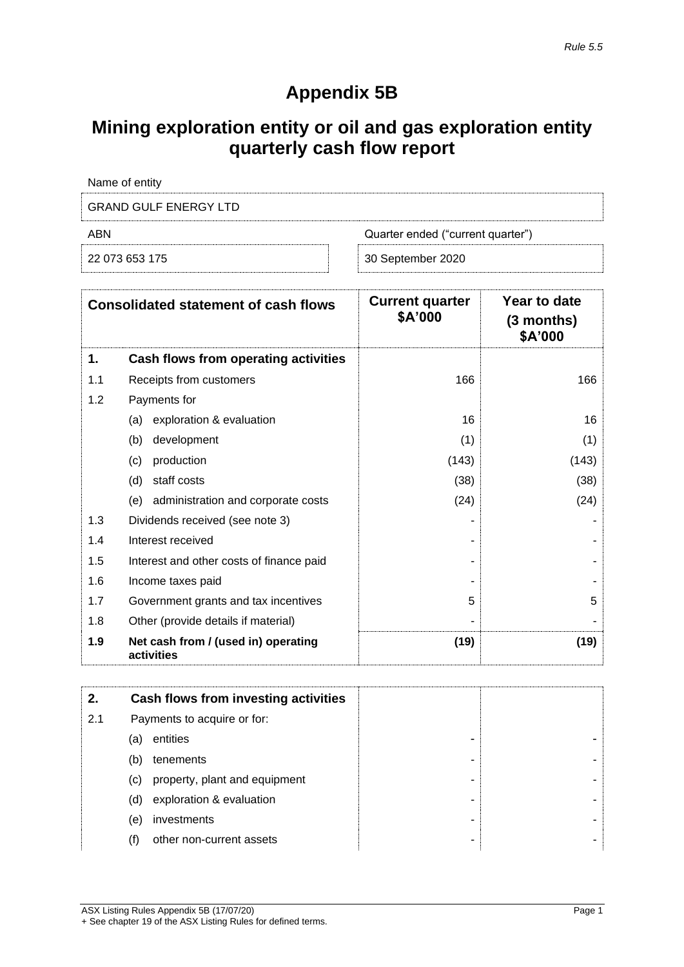# **Appendix 5B**

# **Mining exploration entity or oil and gas exploration entity quarterly cash flow report**

| Name of entity               |                                   |
|------------------------------|-----------------------------------|
| <b>GRAND GULF ENERGY LTD</b> |                                   |
| ABN                          | Quarter ended ("current quarter") |
| 22 073 653 175               | 30 September 2020                 |

|     | <b>Consolidated statement of cash flows</b>       | <b>Current quarter</b><br>\$A'000 | Year to date<br>(3 months)<br>\$A'000 |
|-----|---------------------------------------------------|-----------------------------------|---------------------------------------|
| 1.  | Cash flows from operating activities              |                                   |                                       |
| 1.1 | Receipts from customers                           | 166                               | 166                                   |
| 1.2 | Payments for                                      |                                   |                                       |
|     | exploration & evaluation<br>(a)                   | 16                                | 16                                    |
|     | (b)<br>development                                | (1)                               | (1)                                   |
|     | production<br>(c)                                 | (143)                             | (143)                                 |
|     | (d)<br>staff costs                                | (38)                              | (38)                                  |
|     | administration and corporate costs<br>(e)         | (24)                              | (24)                                  |
| 1.3 | Dividends received (see note 3)                   |                                   |                                       |
| 1.4 | Interest received                                 |                                   |                                       |
| 1.5 | Interest and other costs of finance paid          |                                   |                                       |
| 1.6 | Income taxes paid                                 |                                   |                                       |
| 1.7 | Government grants and tax incentives              | 5                                 | 5                                     |
| 1.8 | Other (provide details if material)               |                                   |                                       |
| 1.9 | Net cash from / (used in) operating<br>activities | (19)                              | (19)                                  |

|     |     | Cash flows from investing activities |   |  |
|-----|-----|--------------------------------------|---|--|
| 2.1 |     | Payments to acquire or for:          |   |  |
|     | (a) | entities                             | - |  |
|     | (b) | tenements                            | ۰ |  |
|     | (C) | property, plant and equipment        | - |  |
|     | (d) | exploration & evaluation             | - |  |
|     | (e) | investments                          | ٠ |  |
|     | (f) | other non-current assets             | ۰ |  |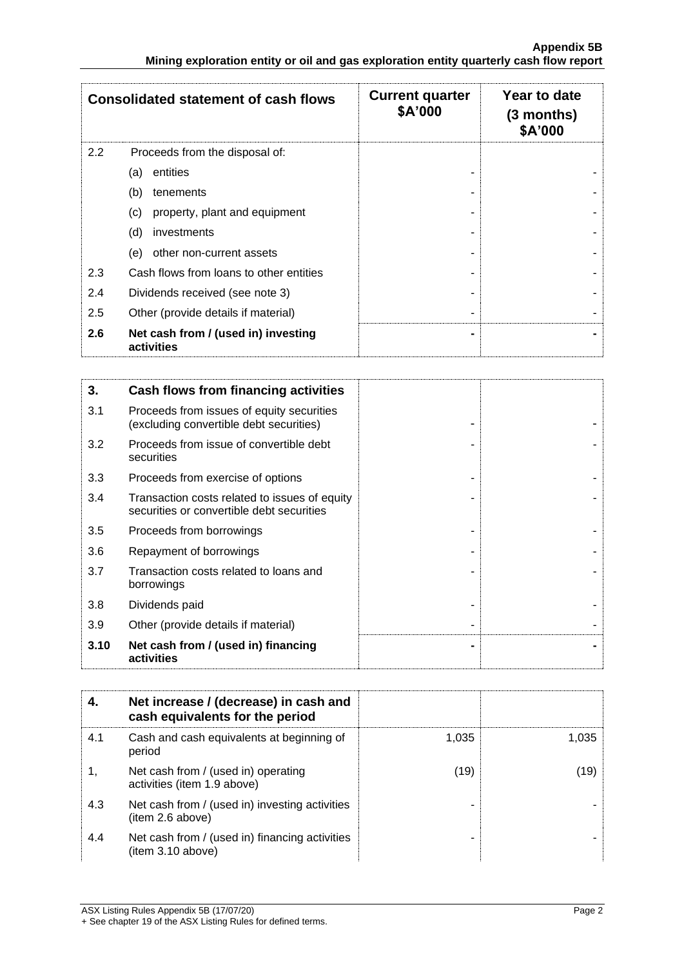|     | <b>Consolidated statement of cash flows</b>       | <b>Current quarter</b><br>\$A'000 | Year to date<br>(3 months)<br>\$A'000 |
|-----|---------------------------------------------------|-----------------------------------|---------------------------------------|
| 2.2 | Proceeds from the disposal of:                    |                                   |                                       |
|     | entities<br>(a)                                   |                                   |                                       |
|     | (b)<br>tenements                                  |                                   |                                       |
|     | property, plant and equipment<br>(c)              |                                   |                                       |
|     | (d)<br>investments                                |                                   |                                       |
|     | (e)<br>other non-current assets                   |                                   |                                       |
| 2.3 | Cash flows from loans to other entities           |                                   |                                       |
| 2.4 | Dividends received (see note 3)                   |                                   |                                       |
| 2.5 | Other (provide details if material)               |                                   |                                       |
| 2.6 | Net cash from / (used in) investing<br>activities |                                   |                                       |

| 3.   | Cash flows from financing activities                                                       |  |
|------|--------------------------------------------------------------------------------------------|--|
| 3.1  | Proceeds from issues of equity securities<br>(excluding convertible debt securities)       |  |
| 3.2  | Proceeds from issue of convertible debt<br>securities                                      |  |
| 3.3  | Proceeds from exercise of options                                                          |  |
| 3.4  | Transaction costs related to issues of equity<br>securities or convertible debt securities |  |
| 3.5  | Proceeds from borrowings                                                                   |  |
| 3.6  | Repayment of borrowings                                                                    |  |
| 3.7  | Transaction costs related to loans and<br>borrowings                                       |  |
| 3.8  | Dividends paid                                                                             |  |
| 3.9  | Other (provide details if material)                                                        |  |
| 3.10 | Net cash from / (used in) financing<br>activities                                          |  |

|     | Net increase / (decrease) in cash and<br>cash equivalents for the period |       |       |
|-----|--------------------------------------------------------------------------|-------|-------|
| 4.1 | Cash and cash equivalents at beginning of<br>period                      | 1,035 | 1,035 |
|     | Net cash from / (used in) operating<br>activities (item 1.9 above)       | (19)  | (19)  |
| 4.3 | Net cash from / (used in) investing activities<br>(item 2.6 above)       |       |       |
| 4.4 | Net cash from / (used in) financing activities<br>item 3.10 above)       |       |       |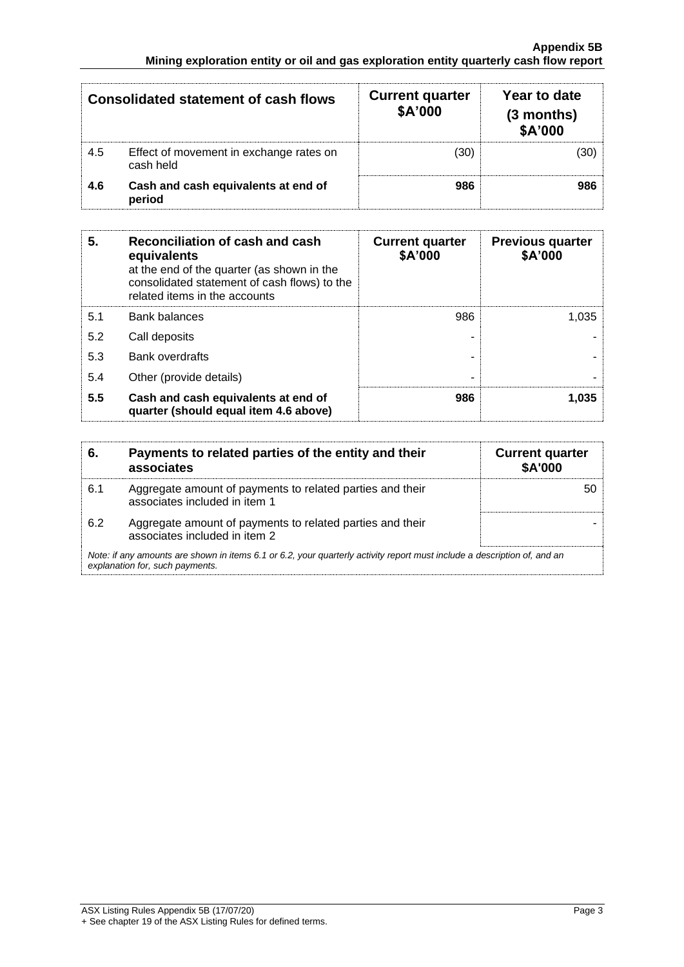| <b>Consolidated statement of cash flows</b> |                                                      | <b>Current quarter</b><br>\$A'000 | Year to date<br>$(3$ months)<br>\$A'000 |
|---------------------------------------------|------------------------------------------------------|-----------------------------------|-----------------------------------------|
| 4.5                                         | Effect of movement in exchange rates on<br>cash held | (30)                              | (30)                                    |
| 4.6                                         | Cash and cash equivalents at end of<br>period        | 986                               | 986                                     |

| 5.  | Reconciliation of cash and cash<br>equivalents<br>at the end of the quarter (as shown in the<br>consolidated statement of cash flows) to the<br>related items in the accounts | <b>Current quarter</b><br>\$A'000 | <b>Previous quarter</b><br>\$A'000 |
|-----|-------------------------------------------------------------------------------------------------------------------------------------------------------------------------------|-----------------------------------|------------------------------------|
| 5.1 | <b>Bank balances</b>                                                                                                                                                          | 986                               | 1.035                              |
| 5.2 | Call deposits                                                                                                                                                                 |                                   |                                    |
| 5.3 | <b>Bank overdrafts</b>                                                                                                                                                        |                                   |                                    |
| 5.4 | Other (provide details)                                                                                                                                                       | -                                 |                                    |
| 5.5 | Cash and cash equivalents at end of<br>quarter (should equal item 4.6 above)                                                                                                  | 986                               | 1.035                              |

| 6.                                                                                                                                                          | Payments to related parties of the entity and their<br>associates                          | <b>Current quarter</b><br><b>\$A'000</b> |
|-------------------------------------------------------------------------------------------------------------------------------------------------------------|--------------------------------------------------------------------------------------------|------------------------------------------|
| 6.1                                                                                                                                                         | Aggregate amount of payments to related parties and their<br>associates included in item 1 | 50                                       |
| 6.2                                                                                                                                                         | Aggregate amount of payments to related parties and their<br>associates included in item 2 |                                          |
| Note: if any amounts are shown in items 6.1 or 6.2, your quarterly activity report must include a description of, and an<br>explanation for, such payments. |                                                                                            |                                          |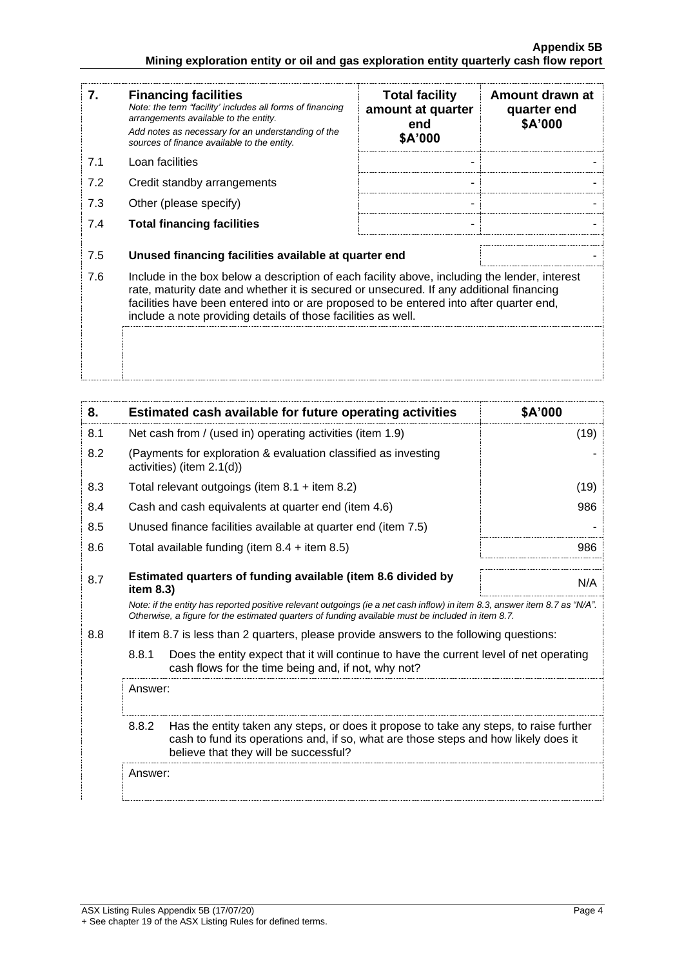| 7.                                                                                                                                                                                                                                                                                                                                                          | <b>Financing facilities</b><br>Note: the term "facility' includes all forms of financing<br>arrangements available to the entity.<br>Add notes as necessary for an understanding of the<br>sources of finance available to the entity. | <b>Total facility</b><br>amount at quarter<br>end<br>\$A'000 | Amount drawn at<br>quarter end<br>\$A'000 |
|-------------------------------------------------------------------------------------------------------------------------------------------------------------------------------------------------------------------------------------------------------------------------------------------------------------------------------------------------------------|----------------------------------------------------------------------------------------------------------------------------------------------------------------------------------------------------------------------------------------|--------------------------------------------------------------|-------------------------------------------|
| 7.1                                                                                                                                                                                                                                                                                                                                                         | Loan facilities                                                                                                                                                                                                                        |                                                              |                                           |
| 7.2                                                                                                                                                                                                                                                                                                                                                         | Credit standby arrangements                                                                                                                                                                                                            |                                                              |                                           |
| 7.3                                                                                                                                                                                                                                                                                                                                                         | Other (please specify)                                                                                                                                                                                                                 |                                                              |                                           |
| 7.4                                                                                                                                                                                                                                                                                                                                                         | <b>Total financing facilities</b>                                                                                                                                                                                                      |                                                              |                                           |
| 7.5                                                                                                                                                                                                                                                                                                                                                         | Unused financing facilities available at quarter end                                                                                                                                                                                   |                                                              |                                           |
| 7.6<br>Include in the box below a description of each facility above, including the lender, interest<br>rate, maturity date and whether it is secured or unsecured. If any additional financing<br>facilities have been entered into or are proposed to be entered into after quarter end,<br>include a note providing details of those facilities as well. |                                                                                                                                                                                                                                        |                                                              |                                           |
|                                                                                                                                                                                                                                                                                                                                                             |                                                                                                                                                                                                                                        |                                                              |                                           |

| 8.                                                                                             |                                                                                                                                                                                                                                 | Estimated cash available for future operating activities                                                                                                                                                               | \$A'000 |
|------------------------------------------------------------------------------------------------|---------------------------------------------------------------------------------------------------------------------------------------------------------------------------------------------------------------------------------|------------------------------------------------------------------------------------------------------------------------------------------------------------------------------------------------------------------------|---------|
| 8.1                                                                                            | Net cash from / (used in) operating activities (item 1.9)                                                                                                                                                                       |                                                                                                                                                                                                                        | (19)    |
| 8.2                                                                                            | (Payments for exploration & evaluation classified as investing<br>activities) (item 2.1(d))                                                                                                                                     |                                                                                                                                                                                                                        |         |
| 8.3                                                                                            |                                                                                                                                                                                                                                 | Total relevant outgoings (item $8.1 +$ item $8.2$ )                                                                                                                                                                    | (19)    |
| 8.4                                                                                            |                                                                                                                                                                                                                                 | Cash and cash equivalents at quarter end (item 4.6)                                                                                                                                                                    | 986     |
| 8.5                                                                                            |                                                                                                                                                                                                                                 | Unused finance facilities available at quarter end (item 7.5)                                                                                                                                                          |         |
| 8.6                                                                                            |                                                                                                                                                                                                                                 | Total available funding (item $8.4 +$ item $8.5$ )                                                                                                                                                                     | 986     |
| 8.7                                                                                            | item 8.3)                                                                                                                                                                                                                       | Estimated quarters of funding available (item 8.6 divided by                                                                                                                                                           | N/A     |
|                                                                                                | Note: if the entity has reported positive relevant outgoings (ie a net cash inflow) in item 8.3, answer item 8.7 as "N/A".<br>Otherwise, a figure for the estimated quarters of funding available must be included in item 8.7. |                                                                                                                                                                                                                        |         |
| 8.8<br>If item 8.7 is less than 2 quarters, please provide answers to the following questions: |                                                                                                                                                                                                                                 |                                                                                                                                                                                                                        |         |
|                                                                                                | 8.8.1                                                                                                                                                                                                                           | Does the entity expect that it will continue to have the current level of net operating<br>cash flows for the time being and, if not, why not?                                                                         |         |
|                                                                                                | Answer:                                                                                                                                                                                                                         |                                                                                                                                                                                                                        |         |
|                                                                                                | 8.8.2                                                                                                                                                                                                                           | Has the entity taken any steps, or does it propose to take any steps, to raise further<br>cash to fund its operations and, if so, what are those steps and how likely does it<br>believe that they will be successful? |         |
|                                                                                                | Answer:                                                                                                                                                                                                                         |                                                                                                                                                                                                                        |         |
|                                                                                                |                                                                                                                                                                                                                                 |                                                                                                                                                                                                                        |         |